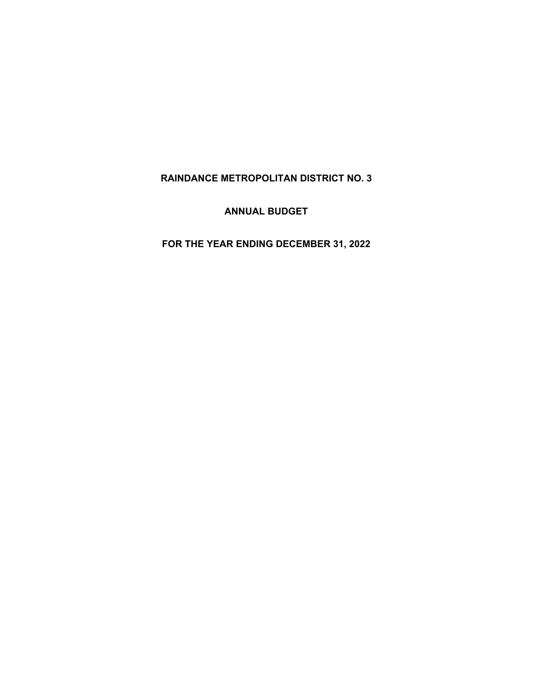**RAINDANCE METROPOLITAN DISTRICT NO. 3** 

**ANNUAL BUDGET** 

**FOR THE YEAR ENDING DECEMBER 31, 2022**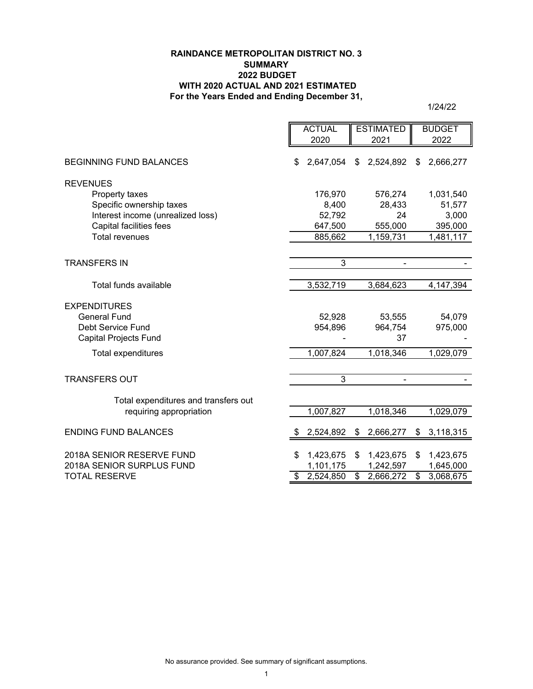## **RAINDANCE METROPOLITAN DISTRICT NO. 3 SUMMARY 2022 BUDGET WITH 2020 ACTUAL AND 2021 ESTIMATED For the Years Ended and Ending December 31,**

|                                      | <b>ACTUAL</b>   | <b>ESTIMATED</b> | <b>BUDGET</b>   |
|--------------------------------------|-----------------|------------------|-----------------|
|                                      | 2020            | 2021             | 2022            |
| <b>BEGINNING FUND BALANCES</b>       | 2,647,054<br>\$ | 2,524,892<br>\$  | 2,666,277<br>\$ |
| <b>REVENUES</b>                      |                 |                  |                 |
| Property taxes                       | 176,970         | 576,274          | 1,031,540       |
| Specific ownership taxes             | 8,400           | 28,433           | 51,577          |
| Interest income (unrealized loss)    | 52,792          | 24               | 3,000           |
| <b>Capital facilities fees</b>       | 647,500         | 555,000          | 395,000         |
| <b>Total revenues</b>                | 885,662         | 1,159,731        | 1,481,117       |
|                                      |                 |                  |                 |
| <b>TRANSFERS IN</b>                  | $\overline{3}$  |                  |                 |
|                                      |                 |                  |                 |
| Total funds available                | 3,532,719       | 3,684,623        | 4, 147, 394     |
| <b>EXPENDITURES</b>                  |                 |                  |                 |
| <b>General Fund</b>                  | 52,928          | 53,555           | 54,079          |
| Debt Service Fund                    | 954,896         | 964,754          | 975,000         |
| <b>Capital Projects Fund</b>         |                 | 37               |                 |
| Total expenditures                   | 1,007,824       | 1,018,346        | 1,029,079       |
|                                      |                 |                  |                 |
| <b>TRANSFERS OUT</b>                 | 3               | $\blacksquare$   |                 |
|                                      |                 |                  |                 |
| Total expenditures and transfers out |                 |                  |                 |
| requiring appropriation              | 1,007,827       | 1,018,346        | 1,029,079       |
|                                      |                 |                  |                 |
| <b>ENDING FUND BALANCES</b>          | 2,524,892       | 2,666,277<br>\$  | 3,118,315<br>\$ |
|                                      |                 |                  |                 |
| 2018A SENIOR RESERVE FUND            | \$<br>1,423,675 | 1,423,675<br>\$  | \$<br>1,423,675 |
| 2018A SENIOR SURPLUS FUND            | 1,101,175       | 1,242,597        | 1,645,000       |
| <b>TOTAL RESERVE</b>                 | \$<br>2,524,850 | \$<br>2,666,272  | \$<br>3,068,675 |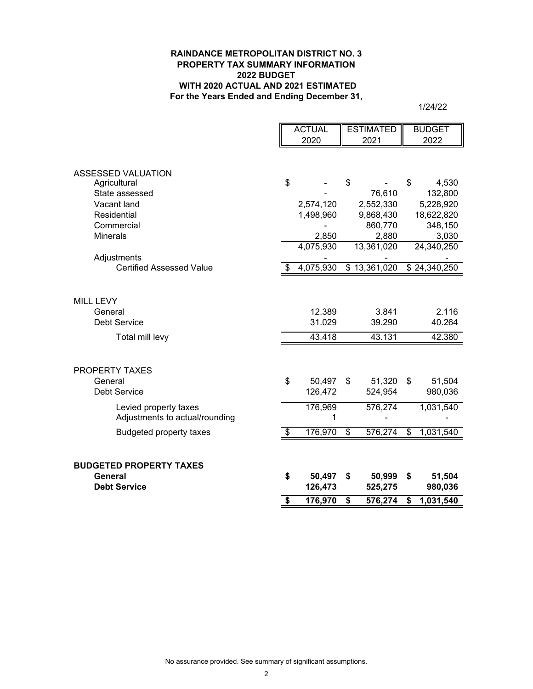#### **RAINDANCE METROPOLITAN DISTRICT NO. 3 PROPERTY TAX SUMMARY INFORMATION 2022 BUDGET WITH 2020 ACTUAL AND 2021 ESTIMATED For the Years Ended and Ending December 31,**

|                                 | <b>ACTUAL</b> | <b>ESTIMATED</b> |                          | <b>BUDGET</b> |
|---------------------------------|---------------|------------------|--------------------------|---------------|
|                                 | 2020          | 2021             |                          | 2022          |
|                                 |               |                  |                          |               |
|                                 |               |                  |                          |               |
| <b>ASSESSED VALUATION</b>       |               |                  |                          |               |
| Agricultural                    | \$            | \$               | \$                       | 4,530         |
| State assessed                  |               | 76,610           |                          | 132,800       |
| Vacant land                     | 2,574,120     | 2,552,330        |                          | 5,228,920     |
| Residential                     | 1,498,960     | 9,868,430        |                          | 18,622,820    |
| Commercial                      |               | 860,770          |                          | 348,150       |
| <b>Minerals</b>                 | 2,850         | 2,880            |                          | 3,030         |
|                                 | 4,075,930     | 13,361,020       |                          | 24,340,250    |
| Adjustments                     |               |                  |                          |               |
| <b>Certified Assessed Value</b> | 4,075,930     | \$13,361,020     |                          | \$24,340,250  |
|                                 |               |                  |                          |               |
|                                 |               |                  |                          |               |
| <b>MILL LEVY</b>                |               |                  |                          |               |
| General                         | 12.389        | 3.841            |                          | 2.116         |
| <b>Debt Service</b>             | 31.029        | 39.290           |                          | 40.264        |
| Total mill levy                 | 43.418        | 43.131           |                          | 42.380        |
|                                 |               |                  |                          |               |
|                                 |               |                  |                          |               |
| PROPERTY TAXES                  |               |                  |                          |               |
| General                         | \$<br>50,497  | \$<br>51,320     | \$                       | 51,504        |
| <b>Debt Service</b>             | 126,472       | 524,954          |                          | 980,036       |
|                                 |               |                  |                          |               |
| Levied property taxes           | 176,969       | 576,274          |                          | 1,031,540     |
| Adjustments to actual/rounding  | 1             |                  |                          |               |
| <b>Budgeted property taxes</b>  | \$<br>176,970 | \$<br>576,274    | $\overline{\mathcal{E}}$ | 1,031,540     |
|                                 |               |                  |                          |               |
|                                 |               |                  |                          |               |
| <b>BUDGETED PROPERTY TAXES</b>  |               |                  |                          |               |
| <b>General</b>                  | \$<br>50,497  | \$<br>50,999     | \$                       | 51,504        |
| <b>Debt Service</b>             | 126,473       | 525,275          |                          | 980,036       |
|                                 | \$<br>176,970 | \$<br>576,274    | \$                       | 1,031,540     |
|                                 |               |                  |                          |               |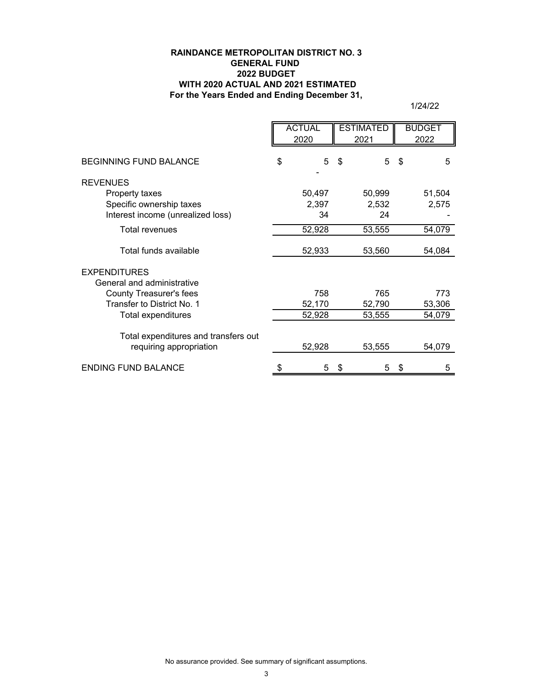## **For the Years Ended and Ending December 31, RAINDANCE METROPOLITAN DISTRICT NO. 3 GENERAL FUND 2022 BUDGET WITH 2020 ACTUAL AND 2021 ESTIMATED**

|                                                                 | <b>ACTUAL</b><br><b>ESTIMATED</b><br>2020<br>2021 |    | <b>BUDGET</b><br>2022 |         |
|-----------------------------------------------------------------|---------------------------------------------------|----|-----------------------|---------|
| <b>BEGINNING FUND BALANCE</b>                                   | \$<br>5                                           | \$ | 5                     | \$<br>5 |
| <b>REVENUES</b>                                                 |                                                   |    |                       |         |
| Property taxes                                                  | 50,497                                            |    | 50,999                | 51,504  |
| Specific ownership taxes                                        | 2,397                                             |    | 2,532                 | 2,575   |
| Interest income (unrealized loss)                               | 34                                                |    | 24                    |         |
| <b>Total revenues</b>                                           | 52,928                                            |    | 53,555                | 54,079  |
| Total funds available                                           | 52,933                                            |    | 53,560                | 54,084  |
| <b>EXPENDITURES</b>                                             |                                                   |    |                       |         |
| General and administrative                                      |                                                   |    |                       |         |
| <b>County Treasurer's fees</b>                                  | 758                                               |    | 765                   | 773     |
| Transfer to District No. 1                                      | 52,170                                            |    | 52,790                | 53,306  |
| Total expenditures                                              | 52,928                                            |    | 53,555                | 54,079  |
| Total expenditures and transfers out<br>requiring appropriation | 52,928                                            |    | 53,555                | 54,079  |
|                                                                 |                                                   |    |                       |         |
| <b>ENDING FUND BALANCE</b>                                      | \$<br>5                                           | \$ | 5                     | \$<br>5 |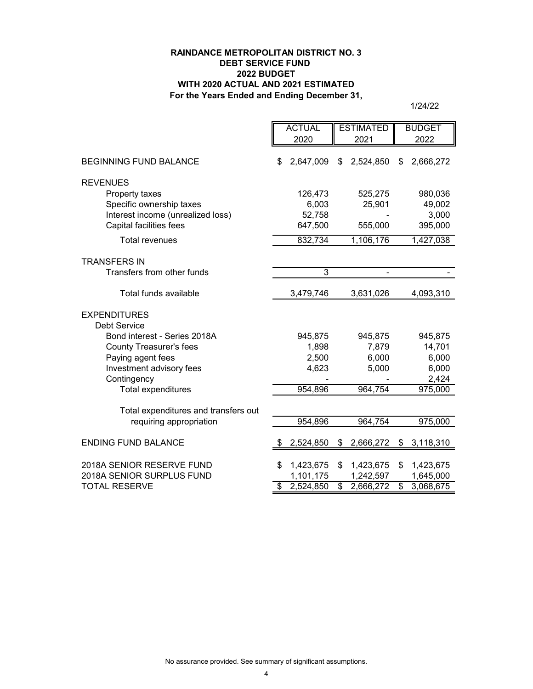## **RAINDANCE METROPOLITAN DISTRICT NO. 3 DEBT SERVICE FUND 2022 BUDGET WITH 2020 ACTUAL AND 2021 ESTIMATED For the Years Ended and Ending December 31,**

|                                      | <b>ACTUAL</b>   |         | <b>ESTIMATED</b>         |           | <b>BUDGET</b>   |
|--------------------------------------|-----------------|---------|--------------------------|-----------|-----------------|
|                                      | 2020            |         | 2021                     |           | 2022            |
| <b>BEGINNING FUND BALANCE</b>        | \$<br>2,647,009 |         | \$                       | 2,524,850 | \$<br>2,666,272 |
| <b>REVENUES</b>                      |                 |         |                          |           |                 |
| Property taxes                       |                 | 126,473 |                          | 525,275   | 980,036         |
| Specific ownership taxes             |                 | 6,003   |                          | 25,901    | 49,002          |
| Interest income (unrealized loss)    |                 | 52,758  |                          |           | 3,000           |
| <b>Capital facilities fees</b>       |                 | 647,500 |                          | 555,000   | 395,000         |
| <b>Total revenues</b>                |                 | 832,734 |                          | 1,106,176 | 1,427,038       |
| <b>TRANSFERS IN</b>                  |                 |         |                          |           |                 |
| Transfers from other funds           |                 | 3       |                          |           |                 |
| Total funds available                | 3,479,746       |         |                          | 3,631,026 | 4,093,310       |
| <b>EXPENDITURES</b>                  |                 |         |                          |           |                 |
| <b>Debt Service</b>                  |                 |         |                          |           |                 |
| Bond interest - Series 2018A         |                 | 945,875 |                          | 945,875   | 945,875         |
| <b>County Treasurer's fees</b>       |                 | 1,898   |                          | 7,879     | 14,701          |
| Paying agent fees                    |                 | 2,500   |                          | 6,000     | 6,000           |
| Investment advisory fees             |                 | 4,623   |                          | 5,000     | 6,000           |
| Contingency                          |                 |         |                          |           | 2,424           |
| <b>Total expenditures</b>            |                 | 954,896 |                          | 964,754   | 975,000         |
| Total expenditures and transfers out |                 |         |                          |           |                 |
| requiring appropriation              |                 | 954,896 |                          | 964,754   | 975,000         |
| <b>ENDING FUND BALANCE</b>           | 2,524,850       |         | \$                       | 2,666,272 | \$<br>3,118,310 |
| 2018A SENIOR RESERVE FUND            | 1,423,675<br>S  |         | \$                       | 1,423,675 | \$<br>1,423,675 |
| 2018A SENIOR SURPLUS FUND            | 1,101,175       |         |                          | 1,242,597 | 1,645,000       |
| <b>TOTAL RESERVE</b>                 | 2,524,850<br>\$ |         | $\overline{\mathcal{S}}$ | 2,666,272 | \$<br>3,068,675 |
|                                      |                 |         |                          |           |                 |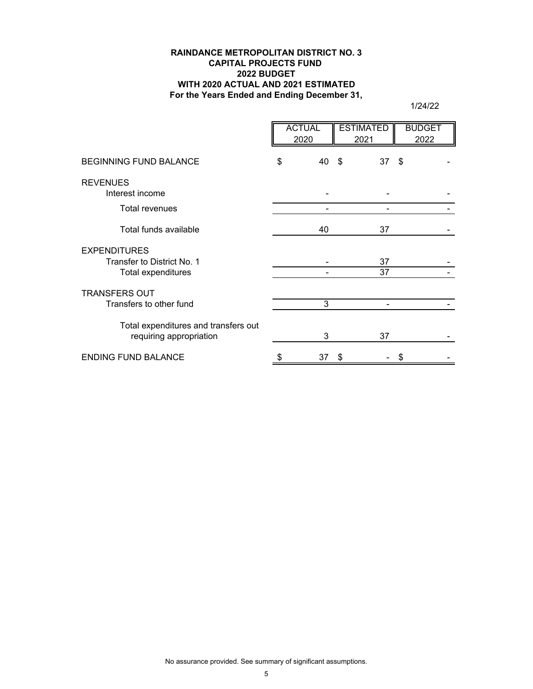## **RAINDANCE METROPOLITAN DISTRICT NO. 3 CAPITAL PROJECTS FUND 2022 BUDGET WITH 2020 ACTUAL AND 2021 ESTIMATED For the Years Ended and Ending December 31,**

|                                                                         | <b>ACTUAL</b><br>2020 |    | <b>ESTIMATED</b><br>2021 |    | <b>BUDGET</b><br>2022 |
|-------------------------------------------------------------------------|-----------------------|----|--------------------------|----|-----------------------|
| <b>BEGINNING FUND BALANCE</b>                                           | \$<br>40              | \$ | 37                       | \$ |                       |
| <b>REVENUES</b><br>Interest income                                      |                       |    |                          |    |                       |
| <b>Total revenues</b>                                                   |                       |    |                          |    |                       |
| Total funds available                                                   | 40                    |    | 37                       |    |                       |
| <b>EXPENDITURES</b><br>Transfer to District No. 1<br>Total expenditures |                       |    | 37<br>37                 |    |                       |
| <b>TRANSFERS OUT</b><br>Transfers to other fund                         | 3                     |    |                          |    |                       |
| Total expenditures and transfers out<br>requiring appropriation         | 3                     |    | 37                       |    |                       |
| <b>ENDING FUND BALANCE</b>                                              | \$<br>37              | S  |                          | S  |                       |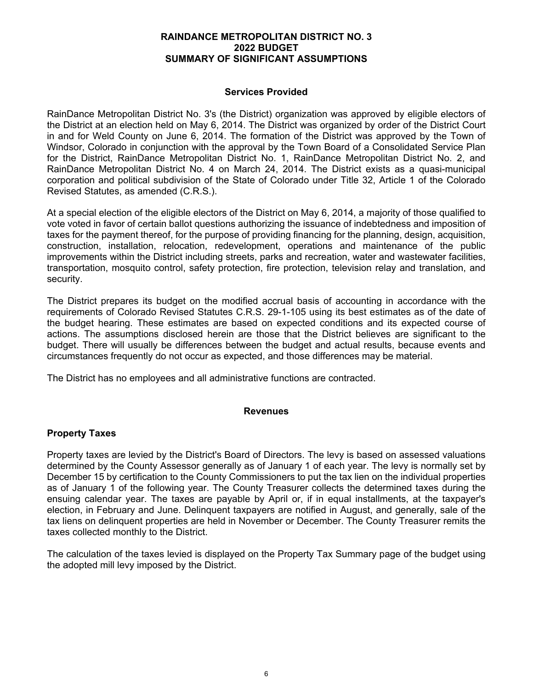## **Services Provided**

RainDance Metropolitan District No. 3's (the District) organization was approved by eligible electors of the District at an election held on May 6, 2014. The District was organized by order of the District Court in and for Weld County on June 6, 2014. The formation of the District was approved by the Town of Windsor, Colorado in conjunction with the approval by the Town Board of a Consolidated Service Plan for the District, RainDance Metropolitan District No. 1, RainDance Metropolitan District No. 2, and RainDance Metropolitan District No. 4 on March 24, 2014. The District exists as a quasi-municipal corporation and political subdivision of the State of Colorado under Title 32, Article 1 of the Colorado Revised Statutes, as amended (C.R.S.).

At a special election of the eligible electors of the District on May 6, 2014, a majority of those qualified to vote voted in favor of certain ballot questions authorizing the issuance of indebtedness and imposition of taxes for the payment thereof, for the purpose of providing financing for the planning, design, acquisition, construction, installation, relocation, redevelopment, operations and maintenance of the public improvements within the District including streets, parks and recreation, water and wastewater facilities, transportation, mosquito control, safety protection, fire protection, television relay and translation, and security.

The District prepares its budget on the modified accrual basis of accounting in accordance with the requirements of Colorado Revised Statutes C.R.S. 29-1-105 using its best estimates as of the date of the budget hearing. These estimates are based on expected conditions and its expected course of actions. The assumptions disclosed herein are those that the District believes are significant to the budget. There will usually be differences between the budget and actual results, because events and circumstances frequently do not occur as expected, and those differences may be material.

The District has no employees and all administrative functions are contracted.

# **Revenues**

# **Property Taxes**

Property taxes are levied by the District's Board of Directors. The levy is based on assessed valuations determined by the County Assessor generally as of January 1 of each year. The levy is normally set by December 15 by certification to the County Commissioners to put the tax lien on the individual properties as of January 1 of the following year. The County Treasurer collects the determined taxes during the ensuing calendar year. The taxes are payable by April or, if in equal installments, at the taxpayer's election, in February and June. Delinquent taxpayers are notified in August, and generally, sale of the tax liens on delinquent properties are held in November or December. The County Treasurer remits the taxes collected monthly to the District.

The calculation of the taxes levied is displayed on the Property Tax Summary page of the budget using the adopted mill levy imposed by the District.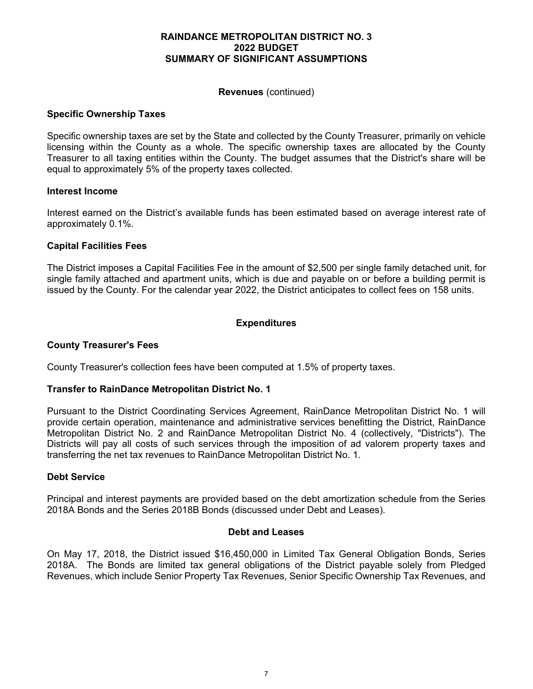### **Revenues** (continued)

#### **Specific Ownership Taxes**

Specific ownership taxes are set by the State and collected by the County Treasurer, primarily on vehicle licensing within the County as a whole. The specific ownership taxes are allocated by the County Treasurer to all taxing entities within the County. The budget assumes that the District's share will be equal to approximately 5% of the property taxes collected.

#### **Interest Income**

Interest earned on the District's available funds has been estimated based on average interest rate of approximately 0.1%.

### **Capital Facilities Fees**

The District imposes a Capital Facilities Fee in the amount of \$2,500 per single family detached unit, for single family attached and apartment units, which is due and payable on or before a building permit is issued by the County. For the calendar year 2022, the District anticipates to collect fees on 158 units.

## **Expenditures**

### **County Treasurer's Fees**

County Treasurer's collection fees have been computed at 1.5% of property taxes.

### **Transfer to RainDance Metropolitan District No. 1**

Pursuant to the District Coordinating Services Agreement, RainDance Metropolitan District No. 1 will provide certain operation, maintenance and administrative services benefitting the District, RainDance Metropolitan District No. 2 and RainDance Metropolitan District No. 4 (collectively, "Districts"). The Districts will pay all costs of such services through the imposition of ad valorem property taxes and transferring the net tax revenues to RainDance Metropolitan District No. 1.

### **Debt Service**

Principal and interest payments are provided based on the debt amortization schedule from the Series 2018A Bonds and the Series 2018B Bonds (discussed under Debt and Leases).

#### **Debt and Leases**

On May 17, 2018, the District issued \$16,450,000 in Limited Tax General Obligation Bonds, Series 2018A. The Bonds are limited tax general obligations of the District payable solely from Pledged Revenues, which include Senior Property Tax Revenues, Senior Specific Ownership Tax Revenues, and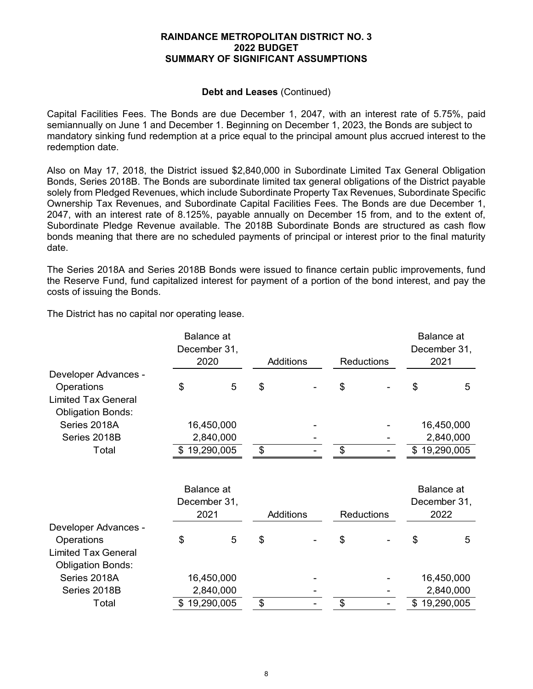## **Debt and Leases** (Continued)

Capital Facilities Fees. The Bonds are due December 1, 2047, with an interest rate of 5.75%, paid semiannually on June 1 and December 1. Beginning on December 1, 2023, the Bonds are subject to mandatory sinking fund redemption at a price equal to the principal amount plus accrued interest to the redemption date.

Also on May 17, 2018, the District issued \$2,840,000 in Subordinate Limited Tax General Obligation Bonds, Series 2018B. The Bonds are subordinate limited tax general obligations of the District payable solely from Pledged Revenues, which include Subordinate Property Tax Revenues, Subordinate Specific Ownership Tax Revenues, and Subordinate Capital Facilities Fees. The Bonds are due December 1, 2047, with an interest rate of 8.125%, payable annually on December 15 from, and to the extent of, Subordinate Pledge Revenue available. The 2018B Subordinate Bonds are structured as cash flow bonds meaning that there are no scheduled payments of principal or interest prior to the final maturity date.

The Series 2018A and Series 2018B Bonds were issued to finance certain public improvements, fund the Reserve Fund, fund capitalized interest for payment of a portion of the bond interest, and pay the costs of issuing the Bonds.

The District has no capital nor operating lease.

|                            | <b>Balance</b> at |                  |  |                   |  |      | Balance at        |
|----------------------------|-------------------|------------------|--|-------------------|--|------|-------------------|
|                            | December 31,      |                  |  |                   |  |      | December 31,      |
|                            | 2020              | <b>Additions</b> |  | <b>Reductions</b> |  | 2021 |                   |
| Developer Advances -       |                   |                  |  |                   |  |      |                   |
| Operations                 | \$<br>5           | \$               |  | \$                |  | \$   | 5                 |
| <b>Limited Tax General</b> |                   |                  |  |                   |  |      |                   |
| <b>Obligation Bonds:</b>   |                   |                  |  |                   |  |      |                   |
| Series 2018A               | 16,450,000        |                  |  |                   |  |      | 16,450,000        |
| Series 2018B               | 2,840,000         |                  |  |                   |  |      | 2,840,000         |
| Total                      | \$19,290,005      | \$               |  | \$                |  |      | \$19,290,005      |
|                            |                   |                  |  |                   |  |      |                   |
|                            | <b>Balance</b> at |                  |  |                   |  |      | <b>Balance</b> at |
|                            | December 31,      |                  |  |                   |  |      | December 31,      |
|                            | 2021              | <b>Additions</b> |  | <b>Reductions</b> |  |      | 2022              |
| Developer Advances -       |                   |                  |  |                   |  |      |                   |
| Operations                 | \$<br>5           | \$               |  | \$                |  | \$   | 5                 |
| <b>Limited Tax General</b> |                   |                  |  |                   |  |      |                   |
| <b>Obligation Bonds:</b>   |                   |                  |  |                   |  |      |                   |
| Series 2018A               | 16,450,000        |                  |  |                   |  |      | 16,450,000        |
| Series 2018B               | 2,840,000         |                  |  |                   |  |      | 2,840,000         |
| Total                      | 19,290,005        | \$               |  | \$                |  |      | \$19,290,005      |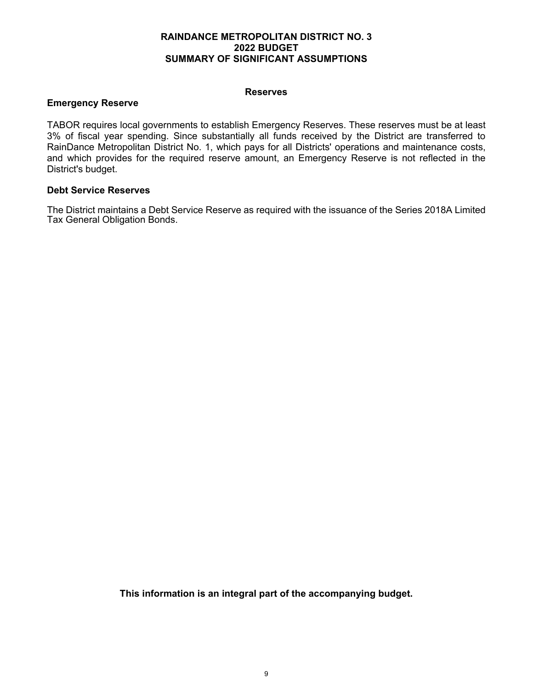#### **Reserves**

## **Emergency Reserve**

TABOR requires local governments to establish Emergency Reserves. These reserves must be at least 3% of fiscal year spending. Since substantially all funds received by the District are transferred to RainDance Metropolitan District No. 1, which pays for all Districts' operations and maintenance costs, and which provides for the required reserve amount, an Emergency Reserve is not reflected in the District's budget.

### **Debt Service Reserves**

The District maintains a Debt Service Reserve as required with the issuance of the Series 2018A Limited Tax General Obligation Bonds.

**This information is an integral part of the accompanying budget.**